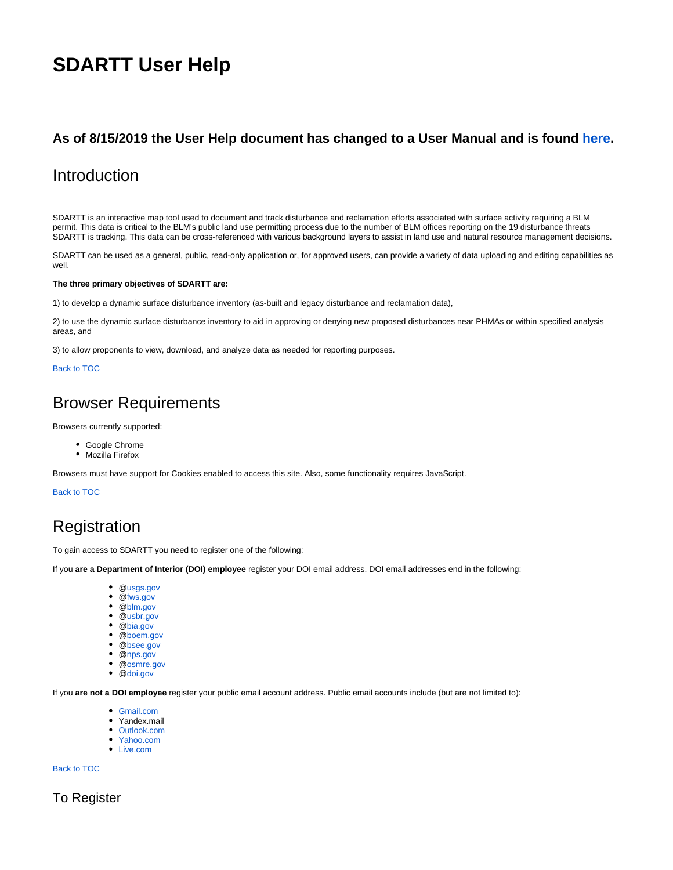# **SDARTT User Help**

## <span id="page-0-0"></span>**As of 8/15/2019 the User Help document has changed to a User Manual and is found [here](https://my.usgs.gov/confluence/display/FUH/SDARTT+User+Manual).**

## <span id="page-0-1"></span>Introduction

SDARTT is an interactive map tool used to document and track disturbance and reclamation efforts associated with surface activity requiring a BLM permit. This data is critical to the BLM's public land use permitting process due to the number of BLM offices reporting on the 19 disturbance threats SDARTT is tracking. This data can be cross-referenced with various background layers to assist in land use and natural resource management decisions.

SDARTT can be used as a general, public, read-only application or, for approved users, can provide a variety of data uploading and editing capabilities as well.

#### **The three primary objectives of SDARTT are:**

1) to develop a dynamic surface disturbance inventory (as-built and legacy disturbance and reclamation data),

2) to use the dynamic surface disturbance inventory to aid in approving or denying new proposed disturbances near PHMAs or within specified analysis areas, and

3) to allow proponents to view, download, and analyze data as needed for reporting purposes.

#### Back to TOC

## <span id="page-0-2"></span>Browser Requirements

Browsers currently supported:

- Google Chrome
- Mozilla Firefox

Browsers must have support for Cookies enabled to access this site. Also, some functionality requires JavaScript.

Back to TOC

## <span id="page-0-3"></span>Registration

To gain access to SDARTT you need to register one of the following:

If you **are a Department of Interior (DOI) employee** register your DOI email address. DOI email addresses end in the following:

- @[usgs.gov](http://usgs.gov)
- @[fws.gov](http://fws.gov)
- @[blm.gov](http://blm.gov)
- @[usbr.gov](http://usbr.gov)
- @[bia.gov](http://bia.gov)
- @[boem.gov](http://boem.gov)
- @[bsee.gov](http://bsee.gov)
- @[nps.gov](http://nps.gov)
- @[osmre.gov](http://osmre.gov) @[doi.gov](http://doi.gov)

If you **are not a DOI employee** register your public email account address. Public email accounts include (but are not limited to):

- [Gmail.com](http://Gmail.com)
- Yandex.mail
- [Outlook.com](http://Outlook.com)
- [Yahoo.com](http://Yahoo.com)
- [Live.com](http://Live.com)

Back to TOC

<span id="page-0-4"></span>To Register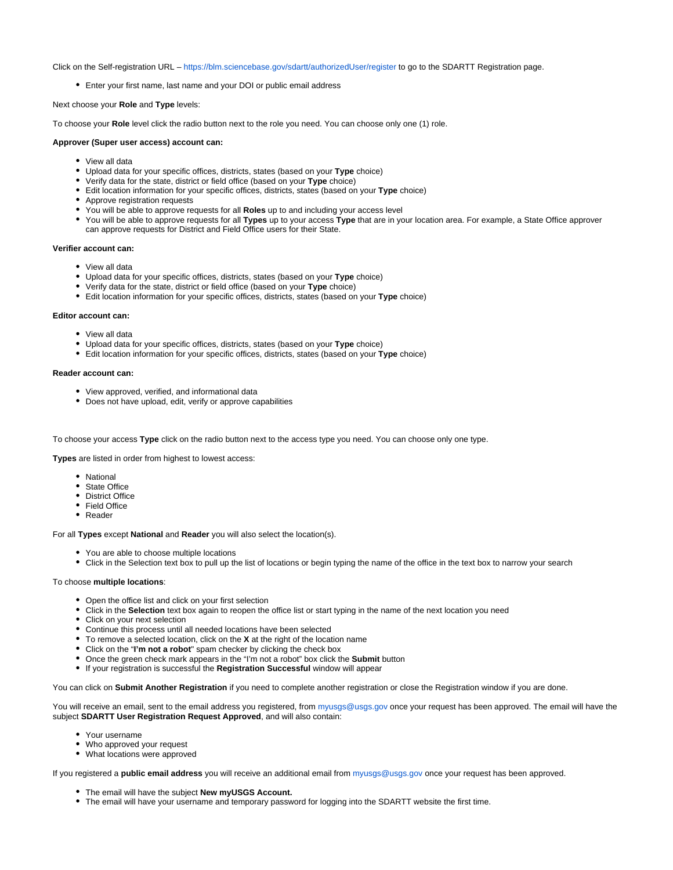Click on the Self-registration URL –<https://blm.sciencebase.gov/sdartt/authorizedUser/register>to go to the SDARTT Registration page.

Enter your first name, last name and your DOI or public email address

Next choose your **Role** and **Type** levels:

To choose your **Role** level click the radio button next to the role you need. You can choose only one (1) role.

#### **Approver (Super user access) account can:**

- View all data
- Upload data for your specific offices, districts, states (based on your **Type** choice)
- Verify data for the state, district or field office (based on your **Type** choice)
- Edit location information for your specific offices, districts, states (based on your **Type** choice)
- Approve registration requests
- You will be able to approve requests for all **Roles** up to and including your access level
- You will be able to approve requests for all **Types** up to your access **Type** that are in your location area. For example, a State Office approver can approve requests for District and Field Office users for their State.

#### **Verifier account can:**

- View all data
- Upload data for your specific offices, districts, states (based on your **Type** choice)
- Verify data for the state, district or field office (based on your **Type** choice)
- Edit location information for your specific offices, districts, states (based on your **Type** choice)

#### **Editor account can:**

- View all data
- Upload data for your specific offices, districts, states (based on your **Type** choice)
- Edit location information for your specific offices, districts, states (based on your **Type** choice)

#### **Reader account can:**

- View approved, verified, and informational data
- Does not have upload, edit, verify or approve capabilities

To choose your access **Type** click on the radio button next to the access type you need. You can choose only one type.

**Types** are listed in order from highest to lowest access:

- National
- State Office
- District Office
- Field Office
- Reader

For all **Types** except **National** and **Reader** you will also select the location(s).

- You are able to choose multiple locations
- Click in the Selection text box to pull up the list of locations or begin typing the name of the office in the text box to narrow your search

#### To choose **multiple locations**:

- Open the office list and click on your first selection
- Click in the **Selection** text box again to reopen the office list or start typing in the name of the next location you need
- Click on your next selection
- Continue this process until all needed locations have been selected
- To remove a selected location, click on the **X** at the right of the location name
- Click on the "**I'm not a robot**" spam checker by clicking the check box
- Once the green check mark appears in the "I'm not a robot" box click the **Submit** button
- If your registration is successful the **Registration Successful** window will appear

You can click on **Submit Another Registration** if you need to complete another registration or close the Registration window if you are done.

You will receive an email, sent to the email address you registered, from [myusgs@usgs.gov](mailto:myusgs@usgs.gov) once your request has been approved. The email will have the subject **SDARTT User Registration Request Approved**, and will also contain:

- Your username
- Who approved your request
- What locations were approved

If you registered a **public email address** you will receive an additional email from [myusgs@usgs.gov](mailto:myusgs@usgs.gov) once your request has been approved.

- The email will have the subject **New myUSGS Account.**
- The email will have your username and temporary password for logging into the SDARTT website the first time.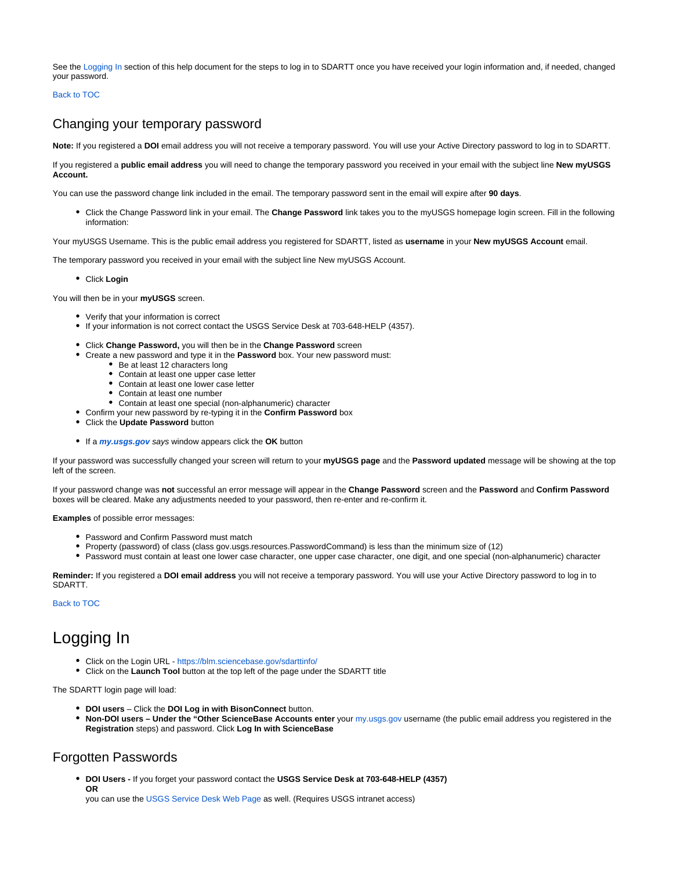See the [Logging In](https://my.usgs.gov/confluence/display/FUH/SDARTT+User+Help#SDARTTUserHelp-LoggingIn) section of this help document for the steps to log in to SDARTT once you have received your login information and, if needed, changed your password.

Back to TOC

## <span id="page-2-0"></span>Changing your temporary password

**Note:** If you registered a **DOI** email address you will not receive a temporary password. You will use your Active Directory password to log in to SDARTT.

If you registered a **public email address** you will need to change the temporary password you received in your email with the subject line **New myUSGS Account.**

You can use the password change link included in the email. The temporary password sent in the email will expire after **90 days**.

Click the Change Password link in your email. The **Change Password** link takes you to the myUSGS homepage login screen. Fill in the following information:

Your myUSGS Username. This is the public email address you registered for SDARTT, listed as **username** in your **New myUSGS Account** email.

The temporary password you received in your email with the subject line New myUSGS Account.

Click **Login**

You will then be in your **myUSGS** screen.

- Verify that your information is correct
- If your information is not correct contact the USGS Service Desk at 703-648-HELP (4357).
- Click **Change Password,** you will then be in the **Change Password** screen
- Create a new password and type it in the **Password** box. Your new password must:
	- Be at least 12 characters long
	- Contain at least one upper case letter
	- Contain at least one lower case letter
	- Contain at least one number
	- Contain at least one special (non-alphanumeric) character
- Confirm your new password by re-typing it in the **Confirm Password** box
- Click the **Update Password** button
- If a **[my.usgs.gov](http://my.usgs.gov)** says window appears click the **OK** button

If your password was successfully changed your screen will return to your **myUSGS page** and the **Password updated** message will be showing at the top left of the screen.

If your password change was **not** successful an error message will appear in the **Change Password** screen and the **Password** and **Confirm Password** boxes will be cleared. Make any adjustments needed to your password, then re-enter and re-confirm it.

**Examples** of possible error messages:

- Password and Confirm Password must match
- Property (password) of class (class gov.usgs.resources.PasswordCommand) is less than the minimum size of (12)
- Password must contain at least one lower case character, one upper case character, one digit, and one special (non-alphanumeric) character

**Reminder:** If you registered a **DOI email address** you will not receive a temporary password. You will use your Active Directory password to log in to SDARTT.

Back to TOC

## <span id="page-2-1"></span>Logging In

- Click on the Login URL -<https://blm.sciencebase.gov/sdarttinfo/>
- Click on the **Launch Tool** button at the top left of the page under the SDARTT title

The SDARTT login page will load:

- **DOI users** Click the **DOI Log in with BisonConnect** button.
- **Non-DOI users Under the "Other ScienceBase Accounts enter** your [my.usgs.gov](http://my.usgs.gov) username (the public email address you registered in the **Registration** steps) and password. Click **Log In with ScienceBase**

## <span id="page-2-2"></span>Forgotten Passwords

**DOI Users -** If you forget your password contact the **USGS Service Desk at 703-648-HELP (4357) OR**

you can use the [USGS Service Desk Web Page](http://servicedesk.usgs.gov) as well. (Requires USGS intranet access)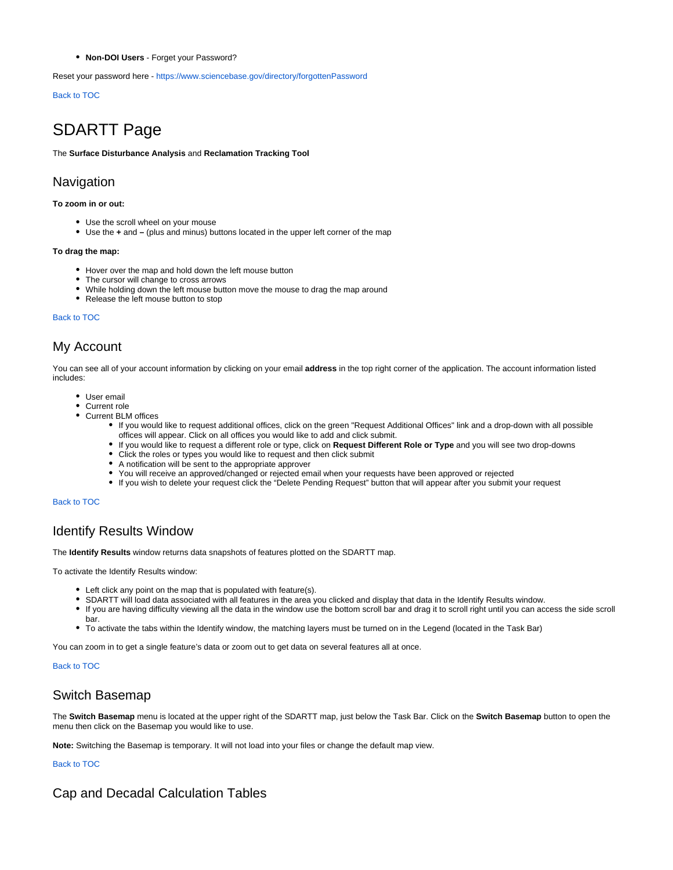**Non-DOI Users** - Forget your Password?

Reset your password here -<https://www.sciencebase.gov/directory/forgottenPassword>

Back to TOC

## <span id="page-3-0"></span>SDARTT Page

The **Surface Disturbance Analysis** and **Reclamation Tracking Tool** 

## <span id="page-3-1"></span>Navigation

#### **To zoom in or out:**

- Use the scroll wheel on your mouse
- Use the **+** and **–** (plus and minus) buttons located in the upper left corner of the map

#### **To drag the map:**

- Hover over the map and hold down the left mouse button
- The cursor will change to cross arrows
- While holding down the left mouse button move the mouse to drag the map around
- Release the left mouse button to stop

#### Back to TOC

## <span id="page-3-2"></span>My Account

You can see all of your account information by clicking on your email **address** in the top right corner of the application. The account information listed includes:

- User email
- Current role
- Current BLM offices
	- If you would like to request additional offices, click on the green "Request Additional Offices" link and a drop-down with all possible offices will appear. Click on all offices you would like to add and click submit.
	- If you would like to request a different role or type, click on **Request Different Role or Type** and you will see two drop-downs
	- Click the roles or types you would like to request and then click submit
	- A notification will be sent to the appropriate approver
	- You will receive an approved/changed or rejected email when your requests have been approved or rejected
	- If you wish to delete your request click the "Delete Pending Request" button that will appear after you submit your request

#### Back to TOC

## <span id="page-3-3"></span>Identify Results Window

The **Identify Results** window returns data snapshots of features plotted on the SDARTT map.

To activate the Identify Results window:

- Left click any point on the map that is populated with feature(s).
- SDARTT will load data associated with all features in the area you clicked and display that data in the Identify Results window.
- If you are having difficulty viewing all the data in the window use the bottom scroll bar and drag it to scroll right until you can access the side scroll bar.
- To activate the tabs within the Identify window, the matching layers must be turned on in the Legend (located in the Task Bar)

You can zoom in to get a single feature's data or zoom out to get data on several features all at once.

#### Back to TOC

## <span id="page-3-4"></span>Switch Basemap

The **Switch Basemap** menu is located at the upper right of the SDARTT map, just below the Task Bar. Click on the **Switch Basemap** button to open the menu then click on the Basemap you would like to use.

**Note:** Switching the Basemap is temporary. It will not load into your files or change the default map view.

Back to TOC

## <span id="page-3-5"></span>Cap and Decadal Calculation Tables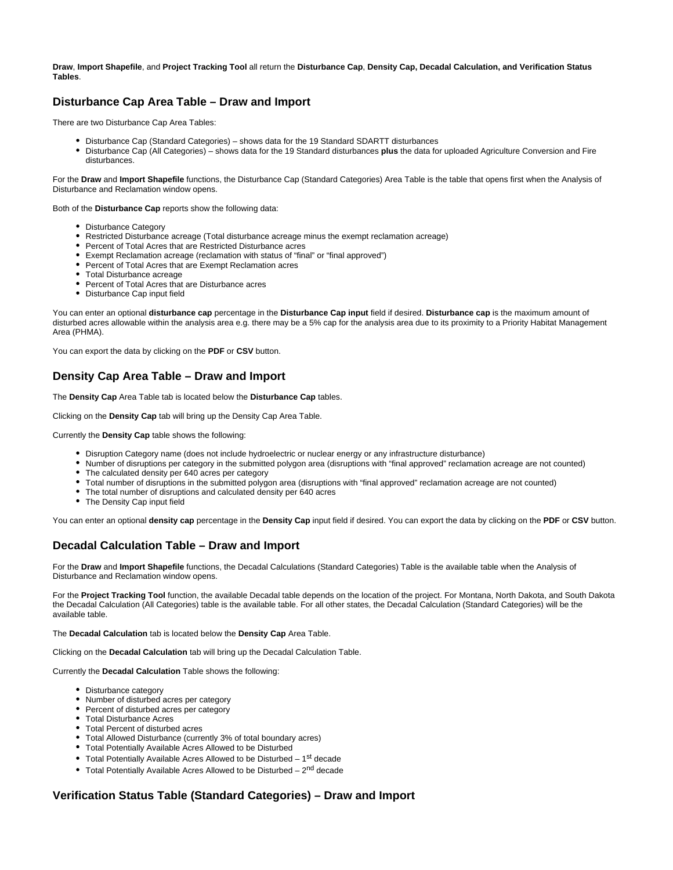**Draw**, **Import Shapefile**, and **Project Tracking Tool** all return the **Disturbance Cap**, **Density Cap, Decadal Calculation, and Verification Status Tables**.

## <span id="page-4-0"></span>**Disturbance Cap Area Table – Draw and Import**

There are two Disturbance Cap Area Tables:

- Disturbance Cap (Standard Categories) shows data for the 19 Standard SDARTT disturbances
- Disturbance Cap (All Categories) shows data for the 19 Standard disturbances **plus** the data for uploaded Agriculture Conversion and Fire disturbances.

For the **Draw** and **Import Shapefile** functions, the Disturbance Cap (Standard Categories) Area Table is the table that opens first when the Analysis of Disturbance and Reclamation window opens.

Both of the **Disturbance Cap** reports show the following data:

- Disturbance Category
- Restricted Disturbance acreage (Total disturbance acreage minus the exempt reclamation acreage)
- Percent of Total Acres that are Restricted Disturbance acres
- Exempt Reclamation acreage (reclamation with status of "final" or "final approved")
- Percent of Total Acres that are Exempt Reclamation acres
- Total Disturbance acreage
- Percent of Total Acres that are Disturbance acres
- Disturbance Cap input field

You can enter an optional **disturbance cap** percentage in the **Disturbance Cap input** field if desired. **Disturbance cap** is the maximum amount of disturbed acres allowable within the analysis area e.g. there may be a 5% cap for the analysis area due to its proximity to a Priority Habitat Management Area (PHMA).

You can export the data by clicking on the **PDF** or **CSV** button.

## <span id="page-4-1"></span>**Density Cap Area Table – Draw and Import**

The **Density Cap** Area Table tab is located below the **Disturbance Cap** tables.

Clicking on the **Density Cap** tab will bring up the Density Cap Area Table.

Currently the **Density Cap** table shows the following:

- Disruption Category name (does not include hydroelectric or nuclear energy or any infrastructure disturbance)
- Number of disruptions per category in the submitted polygon area (disruptions with "final approved" reclamation acreage are not counted) The calculated density per 640 acres per category
- Total number of disruptions in the submitted polygon area (disruptions with "final approved" reclamation acreage are not counted)
- The total number of disruptions and calculated density per 640 acres
- The Density Cap input field

You can enter an optional **density cap** percentage in the **Density Cap** input field if desired. You can export the data by clicking on the **PDF** or **CSV** button.

### <span id="page-4-2"></span>**Decadal Calculation Table – Draw and Import**

For the **Draw** and **Import Shapefile** functions, the Decadal Calculations (Standard Categories) Table is the available table when the Analysis of Disturbance and Reclamation window opens.

For the **Project Tracking Tool** function, the available Decadal table depends on the location of the project. For Montana, North Dakota, and South Dakota the Decadal Calculation (All Categories) table is the available table. For all other states, the Decadal Calculation (Standard Categories) will be the available table.

The **Decadal Calculation** tab is located below the **Density Cap** Area Table.

Clicking on the **Decadal Calculation** tab will bring up the Decadal Calculation Table.

Currently the **Decadal Calculation** Table shows the following:

- Disturbance category
- Number of disturbed acres per category
- Percent of disturbed acres per category
- Total Disturbance Acres
- Total Percent of disturbed acres
- Total Allowed Disturbance (currently 3% of total boundary acres)
- Total Potentially Available Acres Allowed to be Disturbed
- $\bullet$  Total Potentially Available Acres Allowed to be Disturbed 1<sup>st</sup> decade
- $\bullet$  Total Potentially Available Acres Allowed to be Disturbed  $2^{nd}$  decade

### <span id="page-4-3"></span>**Verification Status Table (Standard Categories) – Draw and Import**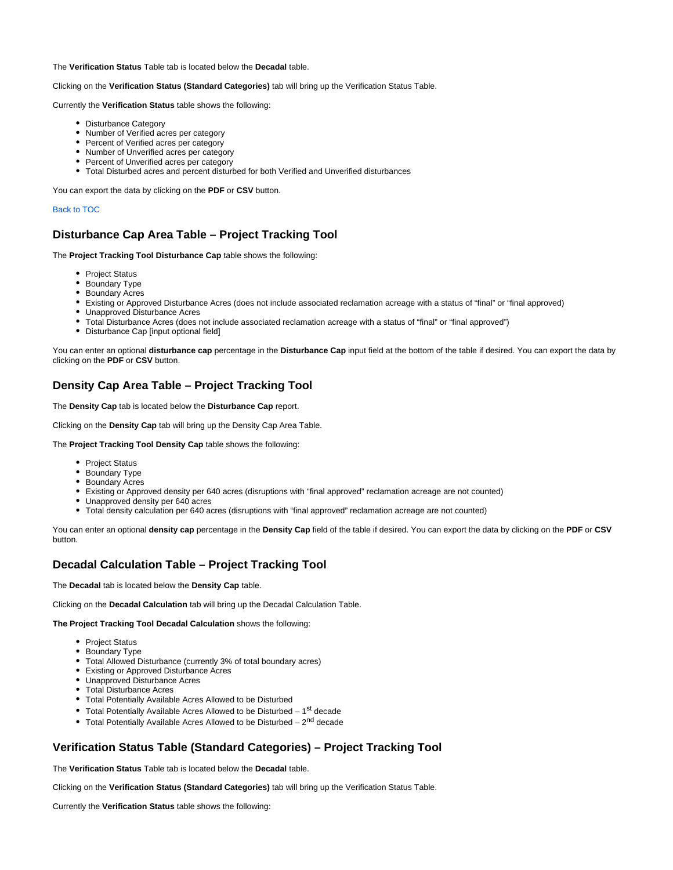The **Verification Status** Table tab is located below the **Decadal** table.

#### Clicking on the **Verification Status (Standard Categories)** tab will bring up the Verification Status Table.

Currently the **Verification Status** table shows the following:

- Disturbance Category
- Number of Verified acres per category
- Percent of Verified acres per category
- Number of Unverified acres per category
- Percent of Unverified acres per category
- Total Disturbed acres and percent disturbed for both Verified and Unverified disturbances

You can export the data by clicking on the **PDF** or **CSV** button.

#### Back to TOC

## <span id="page-5-0"></span>**Disturbance Cap Area Table – Project Tracking Tool**

The **Project Tracking Tool Disturbance Cap** table shows the following:

- Project Status
- **Boundary Type**
- Boundary Acres
- Existing or Approved Disturbance Acres (does not include associated reclamation acreage with a status of "final" or "final approved)
- Unapproved Disturbance Acres
- Total Disturbance Acres (does not include associated reclamation acreage with a status of "final" or "final approved")
- Disturbance Cap [input optional field]

You can enter an optional **disturbance cap** percentage in the **Disturbance Cap** input field at the bottom of the table if desired. You can export the data by clicking on the **PDF** or **CSV** button.

## <span id="page-5-1"></span>**Density Cap Area Table – Project Tracking Tool**

The **Density Cap** tab is located below the **Disturbance Cap** report.

Clicking on the **Density Cap** tab will bring up the Density Cap Area Table.

The **Project Tracking Tool Density Cap** table shows the following:

- Project Status
- Boundary Type
- Boundary Acres
- Existing or Approved density per 640 acres (disruptions with "final approved" reclamation acreage are not counted)
- Unapproved density per 640 acres
- Total density calculation per 640 acres (disruptions with "final approved" reclamation acreage are not counted)

You can enter an optional **density cap** percentage in the **Density Cap** field of the table if desired. You can export the data by clicking on the **PDF** or **CSV** button.

## <span id="page-5-2"></span>**Decadal Calculation Table – Project Tracking Tool**

The **Decadal** tab is located below the **Density Cap** table.

Clicking on the **Decadal Calculation** tab will bring up the Decadal Calculation Table.

**The Project Tracking Tool Decadal Calculation** shows the following:

- Project Status
- Boundary Type
- Total Allowed Disturbance (currently 3% of total boundary acres)
- Existing or Approved Disturbance Acres
- Unapproved Disturbance Acres
- Total Disturbance Acres
- Total Potentially Available Acres Allowed to be Disturbed
- Total Potentially Available Acres Allowed to be Disturbed  $-1<sup>st</sup>$  decade
- Total Potentially Available Acres Allowed to be Disturbed  $-2<sup>nd</sup>$  decade

## <span id="page-5-3"></span>**Verification Status Table (Standard Categories) – Project Tracking Tool**

The **Verification Status** Table tab is located below the **Decadal** table.

Clicking on the **Verification Status (Standard Categories)** tab will bring up the Verification Status Table.

Currently the **Verification Status** table shows the following: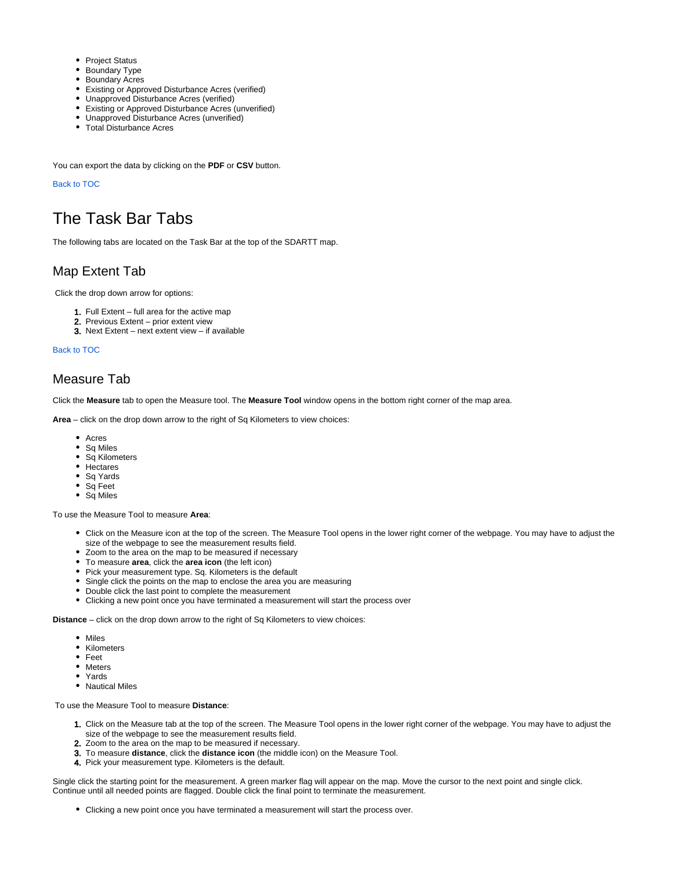- Project Status
- Boundary Type
- **Boundary Acres**
- Existing or Approved Disturbance Acres (verified)
- Unapproved Disturbance Acres (verified)
- Existing or Approved Disturbance Acres (unverified)
- Unapproved Disturbance Acres (unverified)
- Total Disturbance Acres

You can export the data by clicking on the **PDF** or **CSV** button.

#### Back to TOC

## <span id="page-6-0"></span>The Task Bar Tabs

The following tabs are located on the Task Bar at the top of the SDARTT map.

## <span id="page-6-1"></span>Map Extent Tab

Click the drop down arrow for options:

- 1. Full Extent full area for the active map
- 2. Previous Extent prior extent view
- 3. Next Extent next extent view if available

Back to TOC

## <span id="page-6-2"></span>Measure Tab

Click the **Measure** tab to open the Measure tool. The **Measure Tool** window opens in the bottom right corner of the map area.

**Area** – click on the drop down arrow to the right of Sq Kilometers to view choices:

- Acres
- Sq Miles
- Sq Kilometers
- Hectares
- Sq Yards
- Sq Feet
- Sq Miles

To use the Measure Tool to measure **Area**:

- Click on the Measure icon at the top of the screen. The Measure Tool opens in the lower right corner of the webpage. You may have to adjust the size of the webpage to see the measurement results field.
- Zoom to the area on the map to be measured if necessary
- To measure **area**, click the **area icon** (the left icon)
- Pick your measurement type. Sq. Kilometers is the default
- Single click the points on the map to enclose the area you are measuring
- Double click the last point to complete the measurement
- Clicking a new point once you have terminated a measurement will start the process over

**Distance** – click on the drop down arrow to the right of Sq Kilometers to view choices:

- Miles
- Kilometers
- Feet
- Meters
- Yards
- Nautical Miles

To use the Measure Tool to measure **Distance**:

- 1. Click on the Measure tab at the top of the screen. The Measure Tool opens in the lower right corner of the webpage. You may have to adjust the size of the webpage to see the measurement results field.
- 2. Zoom to the area on the map to be measured if necessary.
- 3. To measure **distance**, click the **distance icon** (the middle icon) on the Measure Tool.
- 4. Pick your measurement type. Kilometers is the default.

Single click the starting point for the measurement. A green marker flag will appear on the map. Move the cursor to the next point and single click. Continue until all needed points are flagged. Double click the final point to terminate the measurement.

Clicking a new point once you have terminated a measurement will start the process over.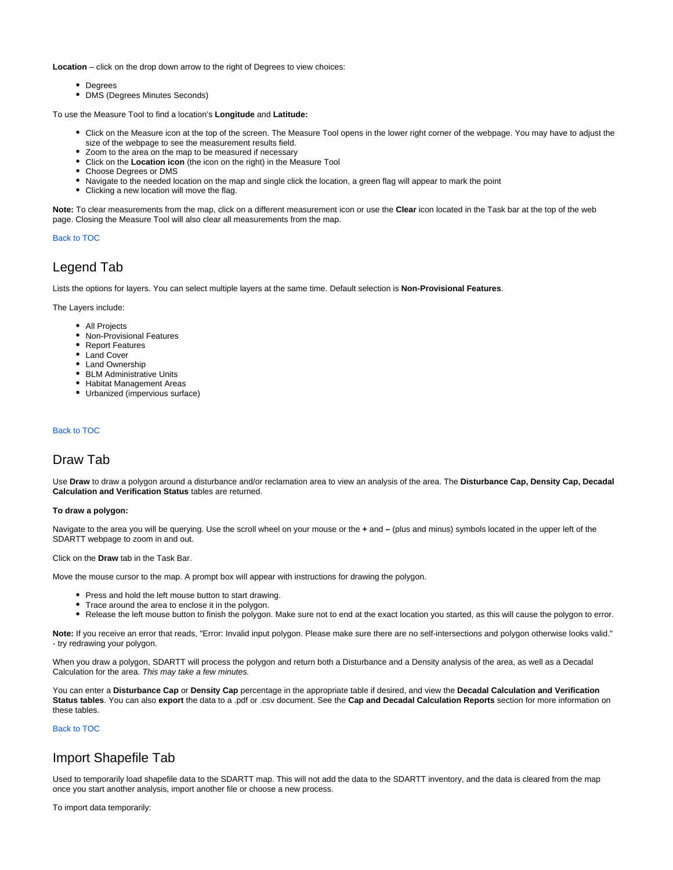**Location** – click on the drop down arrow to the right of Degrees to view choices:

- Degrees
- DMS (Degrees Minutes Seconds)

To use the Measure Tool to find a location's **Longitude** and **Latitude:**

- Click on the Measure icon at the top of the screen. The Measure Tool opens in the lower right corner of the webpage. You may have to adjust the size of the webpage to see the measurement results field.
- Zoom to the area on the map to be measured if necessary
- Click on the **Location icon** (the icon on the right) in the Measure Tool
- Choose Degrees or DMS
- Navigate to the needed location on the map and single click the location, a green flag will appear to mark the point
- Clicking a new location will move the flag.

**Note:** To clear measurements from the map, click on a different measurement icon or use the **Clear** icon located in the Task bar at the top of the web page. Closing the Measure Tool will also clear all measurements from the map.

#### Back to TOC

## <span id="page-7-0"></span>Legend Tab

Lists the options for layers. You can select multiple layers at the same time. Default selection is **Non-Provisional Features**.

The Layers include:

- All Projects
- Non-Provisional Features
- Report Features
- Land Cover
- Land Ownership
- BLM Administrative Units
- Habitat Management Areas
- Urbanized (impervious surface)

#### Back to TOC

## <span id="page-7-1"></span>Draw Tab

Use **Draw** to draw a polygon around a disturbance and/or reclamation area to view an analysis of the area. The **Disturbance Cap, Density Cap, Decadal Calculation and Verification Status** tables are returned.

#### **To draw a polygon:**

Navigate to the area you will be querying. Use the scroll wheel on your mouse or the **+** and **–** (plus and minus) symbols located in the upper left of the SDARTT webpage to zoom in and out.

Click on the **Draw** tab in the Task Bar.

Move the mouse cursor to the map. A prompt box will appear with instructions for drawing the polygon.

- Press and hold the left mouse button to start drawing.
- Trace around the area to enclose it in the polygon.
- Release the left mouse button to finish the polygon. Make sure not to end at the exact location you started, as this will cause the polygon to error.

**Note:** If you receive an error that reads, "Error: Invalid input polygon. Please make sure there are no self-intersections and polygon otherwise looks valid." - try redrawing your polygon.

When you draw a polygon, SDARTT will process the polygon and return both a Disturbance and a Density analysis of the area, as well as a Decadal Calculation for the area. This may take a few minutes.

You can enter a **Disturbance Cap** or **Density Cap** percentage in the appropriate table if desired, and view the **Decadal Calculation and Verification Status tables**. You can also **export** the data to a .pdf or .csv document. See the **Cap and Decadal Calculation Reports** section for more information on these tables.

#### Back to TOC

## <span id="page-7-2"></span>Import Shapefile Tab

Used to temporarily load shapefile data to the SDARTT map. This will not add the data to the SDARTT inventory, and the data is cleared from the map once you start another analysis, import another file or choose a new process.

To import data temporarily: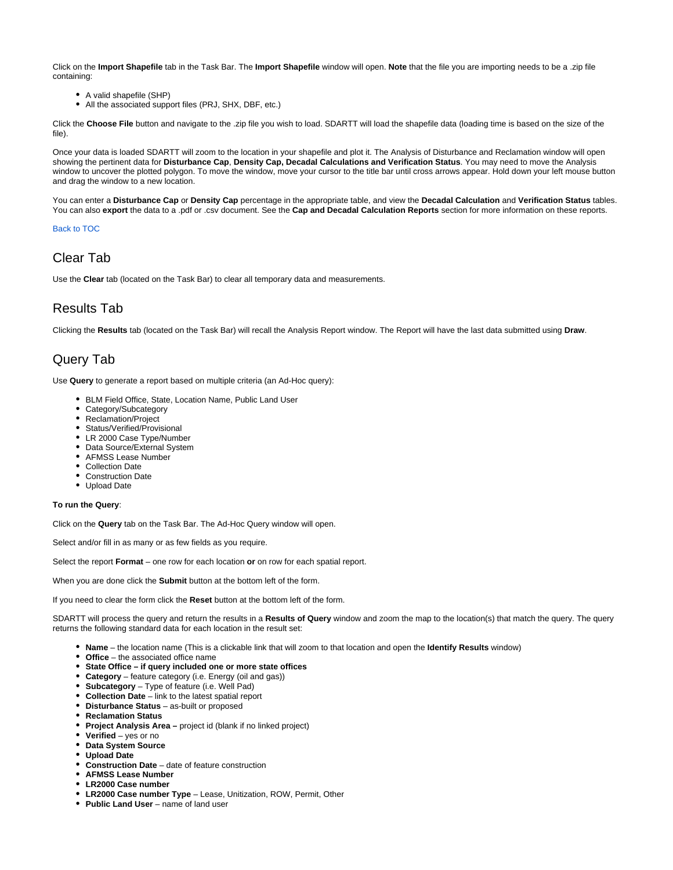Click on the **Import Shapefile** tab in the Task Bar. The **Import Shapefile** window will open. **Note** that the file you are importing needs to be a .zip file containing:

- A valid shapefile (SHP)
- All the associated support files (PRJ, SHX, DBF, etc.)

Click the **Choose File** button and navigate to the .zip file you wish to load. SDARTT will load the shapefile data (loading time is based on the size of the file).

Once your data is loaded SDARTT will zoom to the location in your shapefile and plot it. The Analysis of Disturbance and Reclamation window will open showing the pertinent data for **Disturbance Cap**, **Density Cap, Decadal Calculations and Verification Status**. You may need to move the Analysis window to uncover the plotted polygon. To move the window, move your cursor to the title bar until cross arrows appear. Hold down your left mouse button and drag the window to a new location.

You can enter a **Disturbance Cap** or **Density Cap** percentage in the appropriate table, and view the **Decadal Calculation** and **Verification Status** tables. You can also **export** the data to a .pdf or .csv document. See the **Cap and Decadal Calculation Reports** section for more information on these reports.

Back to TOC

## <span id="page-8-0"></span>Clear Tab

Use the **Clear** tab (located on the Task Bar) to clear all temporary data and measurements.

## <span id="page-8-1"></span>Results Tab

Clicking the **Results** tab (located on the Task Bar) will recall the Analysis Report window. The Report will have the last data submitted using **Draw**.

## <span id="page-8-2"></span>Query Tab

Use **Query** to generate a report based on multiple criteria (an Ad-Hoc query):

- BLM Field Office, State, Location Name, Public Land User
- Category/Subcategory
- Reclamation/Project
- Status/Verified/Provisional
- LR 2000 Case Type/Number
- Data Source/External System
- AFMSS Lease Number
- Collection Date
- Construction Date
- Upload Date

#### **To run the Query**:

Click on the **Query** tab on the Task Bar. The Ad-Hoc Query window will open.

Select and/or fill in as many or as few fields as you require.

Select the report **Format** – one row for each location **or** on row for each spatial report.

When you are done click the **Submit** button at the bottom left of the form.

If you need to clear the form click the **Reset** button at the bottom left of the form.

SDARTT will process the query and return the results in a **Results of Query** window and zoom the map to the location(s) that match the query. The query returns the following standard data for each location in the result set:

- **Name** the location name (This is a clickable link that will zoom to that location and open the **Identify Results** window)
- **Office** the associated office name
- **State Office if query included one or more state offices**
- **Category** feature category (i.e. Energy (oil and gas))
- **Subcategory** Type of feature (i.e. Well Pad)
- **Collection Date** link to the latest spatial report
- **Disturbance Status** as-built or proposed
- **Reclamation Status**
- **Project Analysis Area** project id (blank if no linked project)
- **Verified** yes or no
- **Data System Source**
- **Upload Date**
- **Construction Date** date of feature construction
- **AFMSS Lease Number**
- **LR2000 Case number**
- **LR2000 Case number Type** Lease, Unitization, ROW, Permit, Other
- **Public Land User** name of land user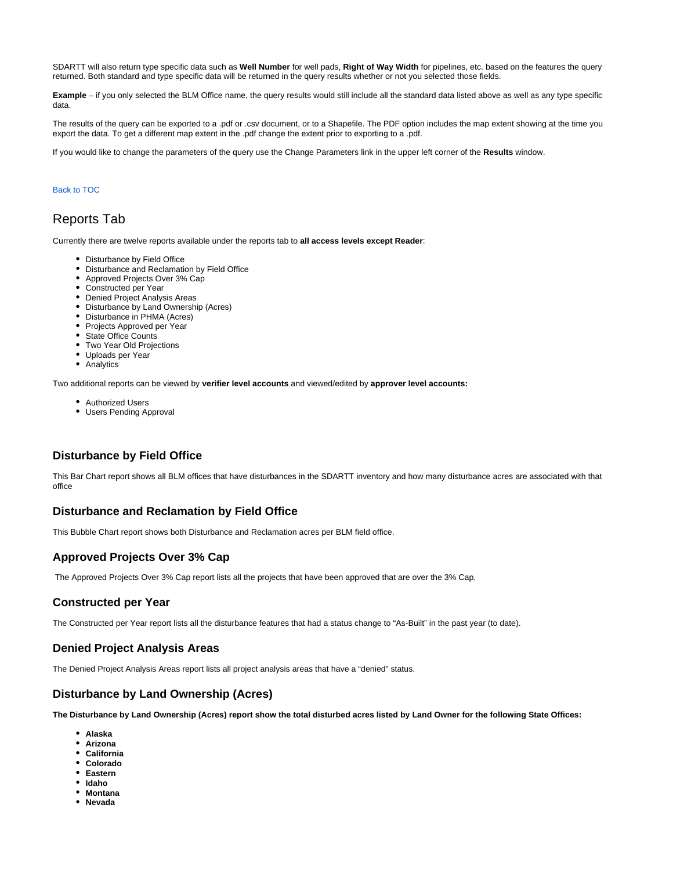SDARTT will also return type specific data such as **Well Number** for well pads, **Right of Way Width** for pipelines, etc. based on the features the query returned. Both standard and type specific data will be returned in the query results whether or not you selected those fields.

**Example** – if you only selected the BLM Office name, the query results would still include all the standard data listed above as well as any type specific data.

The results of the query can be exported to a .pdf or .csv document, or to a Shapefile. The PDF option includes the map extent showing at the time you export the data. To get a different map extent in the .pdf change the extent prior to exporting to a .pdf.

If you would like to change the parameters of the query use the Change Parameters link in the upper left corner of the **Results** window.

#### Back to TOC

## <span id="page-9-0"></span>Reports Tab

Currently there are twelve reports available under the reports tab to **all access levels except Reader**:

- Disturbance by Field Office
- Disturbance and Reclamation by Field Office
- Approved Projects Over 3% Cap
- Constructed per Year
- Denied Project Analysis Areas
- Disturbance by Land Ownership (Acres)
- Disturbance in PHMA (Acres)
- Projects Approved per Year
- State Office Counts
- Two Year Old Projections
- Uploads per Year
- Analytics

Two additional reports can be viewed by **verifier level accounts** and viewed/edited by **approver level accounts:**

- Authorized Users
- Users Pending Approval

## <span id="page-9-1"></span>**Disturbance by Field Office**

This Bar Chart report shows all BLM offices that have disturbances in the SDARTT inventory and how many disturbance acres are associated with that office

## <span id="page-9-2"></span>**Disturbance and Reclamation by Field Office**

This Bubble Chart report shows both Disturbance and Reclamation acres per BLM field office.

## <span id="page-9-3"></span>**Approved Projects Over 3% Cap**

The Approved Projects Over 3% Cap report lists all the projects that have been approved that are over the 3% Cap.

### <span id="page-9-4"></span>**Constructed per Year**

The Constructed per Year report lists all the disturbance features that had a status change to "As-Built" in the past year (to date).

### <span id="page-9-5"></span>**Denied Project Analysis Areas**

The Denied Project Analysis Areas report lists all project analysis areas that have a "denied" status.

## <span id="page-9-6"></span>**Disturbance by Land Ownership (Acres)**

**The Disturbance by Land Ownership (Acres) report show the total disturbed acres listed by Land Owner for the following State Offices:**

- **Alaska**
- **Arizona**
- **California**
- **Colorado**
- **Eastern**
- **Idaho**
- **Montana**
- **Nevada**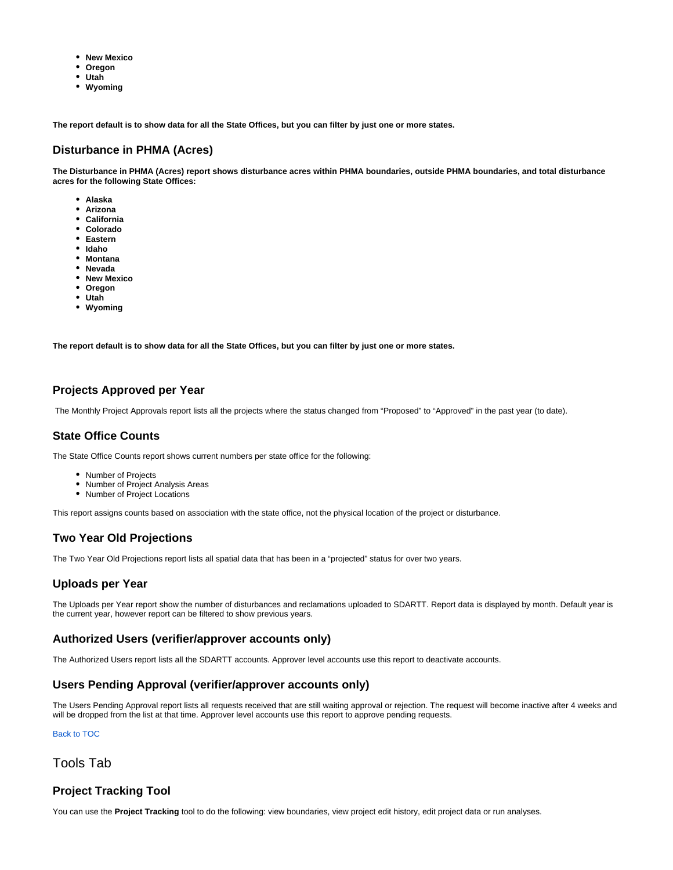- **New Mexico**
- **Oregon**
- **Utah**
- **Wyoming**

**The report default is to show data for all the State Offices, but you can filter by just one or more states.**

## <span id="page-10-0"></span>**Disturbance in PHMA (Acres)**

**The Disturbance in PHMA (Acres) report shows disturbance acres within PHMA boundaries, outside PHMA boundaries, and total disturbance acres for the following State Offices:**

- **Alaska**
- **Arizona**
- **California**
- **Colorado**
- **Eastern**
- **Idaho**
- **Montana**
- **Nevada**
- **New Mexico**
- **Oregon**
- **Utah**
- **Wyoming**

**The report default is to show data for all the State Offices, but you can filter by just one or more states.**

## <span id="page-10-1"></span>**Projects Approved per Year**

The Monthly Project Approvals report lists all the projects where the status changed from "Proposed" to "Approved" in the past year (to date).

### <span id="page-10-2"></span>**State Office Counts**

The State Office Counts report shows current numbers per state office for the following:

- Number of Projects
- Number of Project Analysis Areas
- Number of Project Locations

This report assigns counts based on association with the state office, not the physical location of the project or disturbance.

## <span id="page-10-3"></span>**Two Year Old Projections**

The Two Year Old Projections report lists all spatial data that has been in a "projected" status for over two years.

### <span id="page-10-4"></span>**Uploads per Year**

The Uploads per Year report show the number of disturbances and reclamations uploaded to SDARTT. Report data is displayed by month. Default year is the current year, however report can be filtered to show previous years.

## <span id="page-10-5"></span>**Authorized Users (verifier/approver accounts only)**

The Authorized Users report lists all the SDARTT accounts. Approver level accounts use this report to deactivate accounts.

## <span id="page-10-6"></span>**Users Pending Approval (verifier/approver accounts only)**

The Users Pending Approval report lists all requests received that are still waiting approval or rejection. The request will become inactive after 4 weeks and will be dropped from the list at that time. Approver level accounts use this report to approve pending requests.

Back to TOC

<span id="page-10-7"></span>Tools Tab

## <span id="page-10-8"></span>**Project Tracking Tool**

You can use the **Project Tracking** tool to do the following: view boundaries, view project edit history, edit project data or run analyses.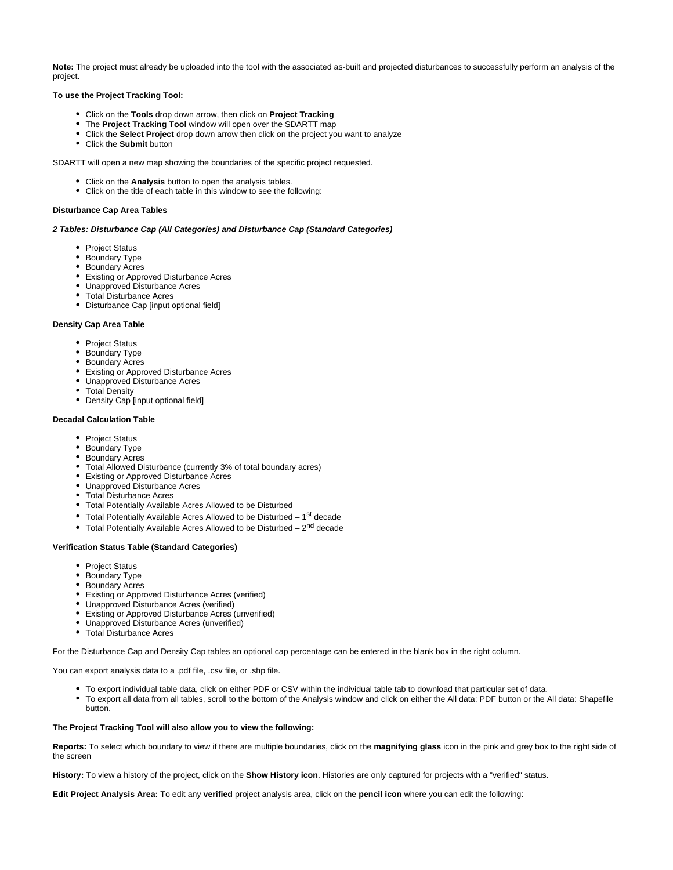**Note:** The project must already be uploaded into the tool with the associated as-built and projected disturbances to successfully perform an analysis of the project.

#### **To use the Project Tracking Tool:**

- Click on the **Tools** drop down arrow, then click on **Project Tracking**
- The **Project Tracking Tool** window will open over the SDARTT map
- Click the **Select Project** drop down arrow then click on the project you want to analyze
- Click the **Submit** button

SDARTT will open a new map showing the boundaries of the specific project requested.

- Click on the **Analysis** button to open the analysis tables.
- Click on the title of each table in this window to see the following:

#### **Disturbance Cap Area Tables**

#### **2 Tables: Disturbance Cap (All Categories) and Disturbance Cap (Standard Categories)**

- Project Status
- Boundary Type
- Boundary Acres
- Existing or Approved Disturbance Acres
- Unapproved Disturbance Acres
- Total Disturbance Acres
- Disturbance Cap [input optional field]

#### **Density Cap Area Table**

- Project Status
- Boundary Type
- Boundary Acres
- Existing or Approved Disturbance Acres
- Unapproved Disturbance Acres
- Total Density
- Density Cap [input optional field]

#### **Decadal Calculation Table**

- Project Status
- Boundary Type
- Boundary Acres
- Total Allowed Disturbance (currently 3% of total boundary acres)
- Existing or Approved Disturbance Acres
- Unapproved Disturbance Acres
- Total Disturbance Acres
- Total Potentially Available Acres Allowed to be Disturbed
- $\bullet$  Total Potentially Available Acres Allowed to be Disturbed 1<sup>st</sup> decade
- Total Potentially Available Acres Allowed to be Disturbed  $2<sup>nd</sup>$  decade

#### **Verification Status Table (Standard Categories)**

- Project Status
- Boundary Type
- Boundary Acres
- Existing or Approved Disturbance Acres (verified)
- Unapproved Disturbance Acres (verified)
- Existing or Approved Disturbance Acres (unverified)
- Unapproved Disturbance Acres (unverified)
- Total Disturbance Acres

For the Disturbance Cap and Density Cap tables an optional cap percentage can be entered in the blank box in the right column.

You can export analysis data to a .pdf file, .csv file, or .shp file.

- To export individual table data, click on either PDF or CSV within the individual table tab to download that particular set of data.
- To export all data from all tables, scroll to the bottom of the Analysis window and click on either the All data: PDF button or the All data: Shapefile button.

#### **The Project Tracking Tool will also allow you to view the following:**

**Reports:** To select which boundary to view if there are multiple boundaries, click on the **magnifying glass** icon in the pink and grey box to the right side of the screen

**History:** To view a history of the project, click on the **Show History icon**. Histories are only captured for projects with a "verified" status.

**Edit Project Analysis Area:** To edit any **verified** project analysis area, click on the **pencil icon** where you can edit the following: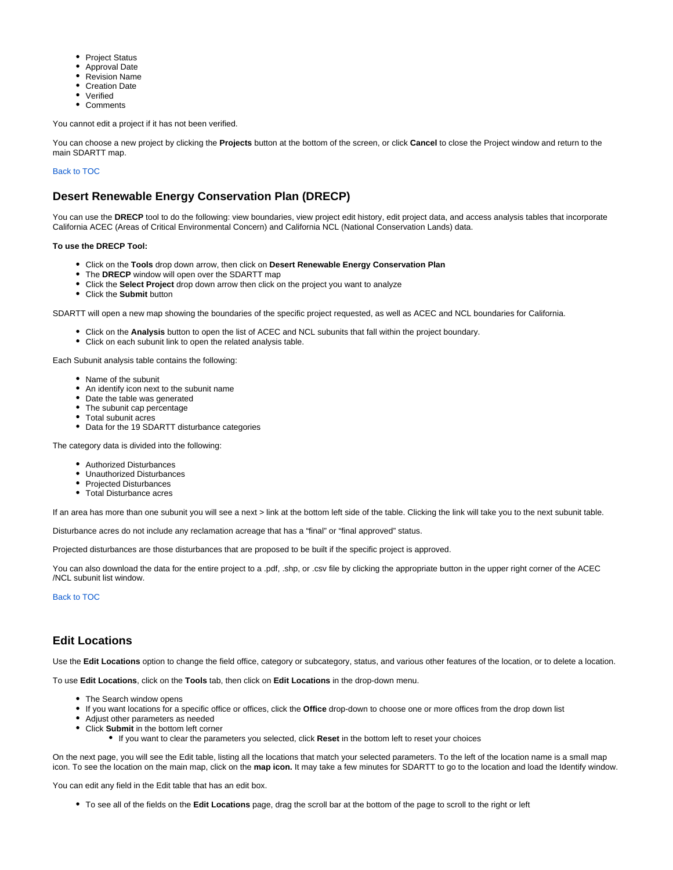- Project Status
- Approval Date
- Revision Name
- Creation Date
- Verified
- Comments

You cannot edit a project if it has not been verified.

You can choose a new project by clicking the **Projects** button at the bottom of the screen, or click **Cancel** to close the Project window and return to the main SDARTT map.

#### Back to TOC

## <span id="page-12-0"></span>**Desert Renewable Energy Conservation Plan (DRECP)**

You can use the DRECP tool to do the following: view boundaries, view project edit history, edit project data, and access analysis tables that incorporate California ACEC (Areas of Critical Environmental Concern) and California NCL (National Conservation Lands) data.

#### **To use the DRECP Tool:**

- Click on the **Tools** drop down arrow, then click on **Desert Renewable Energy Conservation Plan**
- The **DRECP** window will open over the SDARTT map
- Click the **Select Project** drop down arrow then click on the project you want to analyze
- Click the **Submit** button

SDARTT will open a new map showing the boundaries of the specific project requested, as well as ACEC and NCL boundaries for California.

- Click on the **Analysis** button to open the list of ACEC and NCL subunits that fall within the project boundary.
- Click on each subunit link to open the related analysis table.

Each Subunit analysis table contains the following:

- Name of the subunit
- An identify icon next to the subunit name
- Date the table was generated
- The subunit cap percentage
- Total subunit acres
- Data for the 19 SDARTT disturbance categories

The category data is divided into the following:

- Authorized Disturbances
- Unauthorized Disturbances
- Projected Disturbances
- Total Disturbance acres  $\bullet$

If an area has more than one subunit you will see a next > link at the bottom left side of the table. Clicking the link will take you to the next subunit table.

Disturbance acres do not include any reclamation acreage that has a "final" or "final approved" status.

Projected disturbances are those disturbances that are proposed to be built if the specific project is approved.

You can also download the data for the entire project to a .pdf, .shp, or .csv file by clicking the appropriate button in the upper right corner of the ACEC /NCL subunit list window.

Back to TOC

## <span id="page-12-1"></span>**Edit Locations**

Use the **Edit Locations** option to change the field office, category or subcategory, status, and various other features of the location, or to delete a location.

To use **Edit Locations**, click on the **Tools** tab, then click on **Edit Locations** in the drop-down menu.

- The Search window opens
- If you want locations for a specific office or offices, click the **Office** drop-down to choose one or more offices from the drop down list
- Adjust other parameters as needed
- Click **Submit** in the bottom left corner
	- If you want to clear the parameters you selected, click **Reset** in the bottom left to reset your choices

On the next page, you will see the Edit table, listing all the locations that match your selected parameters. To the left of the location name is a small map icon. To see the location on the main map, click on the **map icon.** It may take a few minutes for SDARTT to go to the location and load the Identify window.

You can edit any field in the Edit table that has an edit box.

To see all of the fields on the **Edit Locations** page, drag the scroll bar at the bottom of the page to scroll to the right or left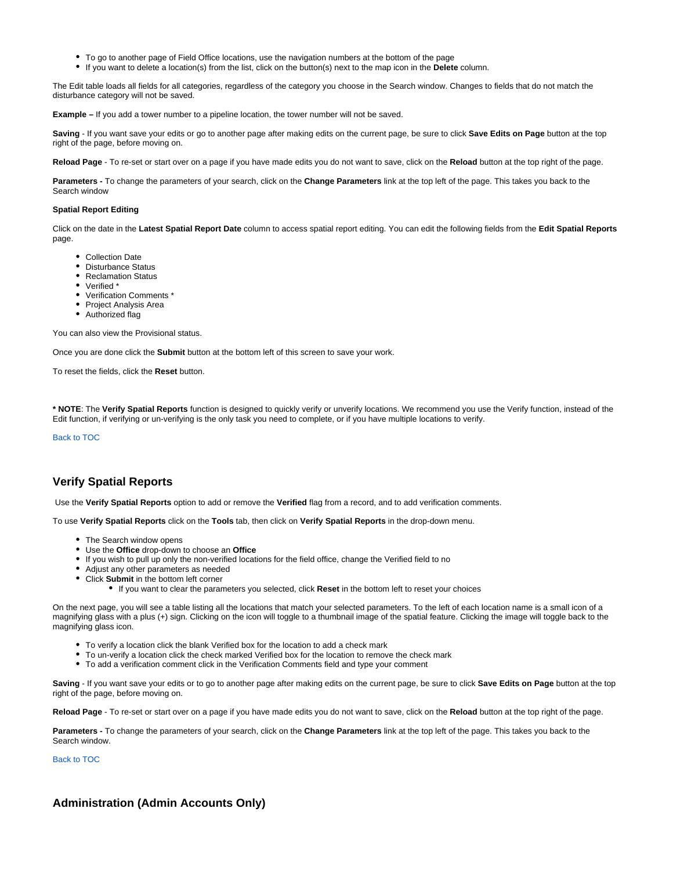- To go to another page of Field Office locations, use the navigation numbers at the bottom of the page
- If you want to delete a location(s) from the list, click on the button(s) next to the map icon in the **Delete** column.

The Edit table loads all fields for all categories, regardless of the category you choose in the Search window. Changes to fields that do not match the disturbance category will not be saved.

**Example –** If you add a tower number to a pipeline location, the tower number will not be saved.

**Saving** - If you want save your edits or go to another page after making edits on the current page, be sure to click **Save Edits on Page** button at the top right of the page, before moving on.

**Reload Page** - To re-set or start over on a page if you have made edits you do not want to save, click on the **Reload** button at the top right of the page.

**Parameters -** To change the parameters of your search, click on the **Change Parameters** link at the top left of the page. This takes you back to the Search window

#### **Spatial Report Editing**

Click on the date in the **Latest Spatial Report Date** column to access spatial report editing. You can edit the following fields from the **Edit Spatial Reports**  page.

- Collection Date
- Disturbance Status
- Reclamation Status
- Verified \*
- Verification Comments \*
- Project Analysis Area
- Authorized flag

You can also view the Provisional status.

Once you are done click the **Submit** button at the bottom left of this screen to save your work.

To reset the fields, click the **Reset** button.

**\* NOTE**: The **Verify Spatial Reports** function is designed to quickly verify or unverify locations. We recommend you use the Verify function, instead of the Edit function, if verifying or un-verifying is the only task you need to complete, or if you have multiple locations to verify.

Back to TOC

### <span id="page-13-0"></span>**Verify Spatial Reports**

Use the **Verify Spatial Reports** option to add or remove the **Verified** flag from a record, and to add verification comments.

To use **Verify Spatial Reports** click on the **Tools** tab, then click on **Verify Spatial Reports** in the drop-down menu.

- The Search window opens
- Use the **Office** drop-down to choose an **Office**
- If you wish to pull up only the non-verified locations for the field office, change the Verified field to no
- Adjust any other parameters as needed
- Click **Submit** in the bottom left corner
	- If you want to clear the parameters you selected, click **Reset** in the bottom left to reset your choices

On the next page, you will see a table listing all the locations that match your selected parameters. To the left of each location name is a small icon of a magnifying glass with a plus (+) sign. Clicking on the icon will toggle to a thumbnail image of the spatial feature. Clicking the image will toggle back to the magnifying glass icon.

- To verify a location click the blank Verified box for the location to add a check mark
- To un-verify a location click the check marked Verified box for the location to remove the check mark
- To add a verification comment click in the Verification Comments field and type your comment

**Saving** - If you want save your edits or to go to another page after making edits on the current page, be sure to click **Save Edits on Page** button at the top right of the page, before moving on.

**Reload Page** - To re-set or start over on a page if you have made edits you do not want to save, click on the **Reload** button at the top right of the page.

**Parameters -** To change the parameters of your search, click on the **Change Parameters** link at the top left of the page. This takes you back to the Search window.

Back to TOC

<span id="page-13-1"></span>**Administration (Admin Accounts Only)**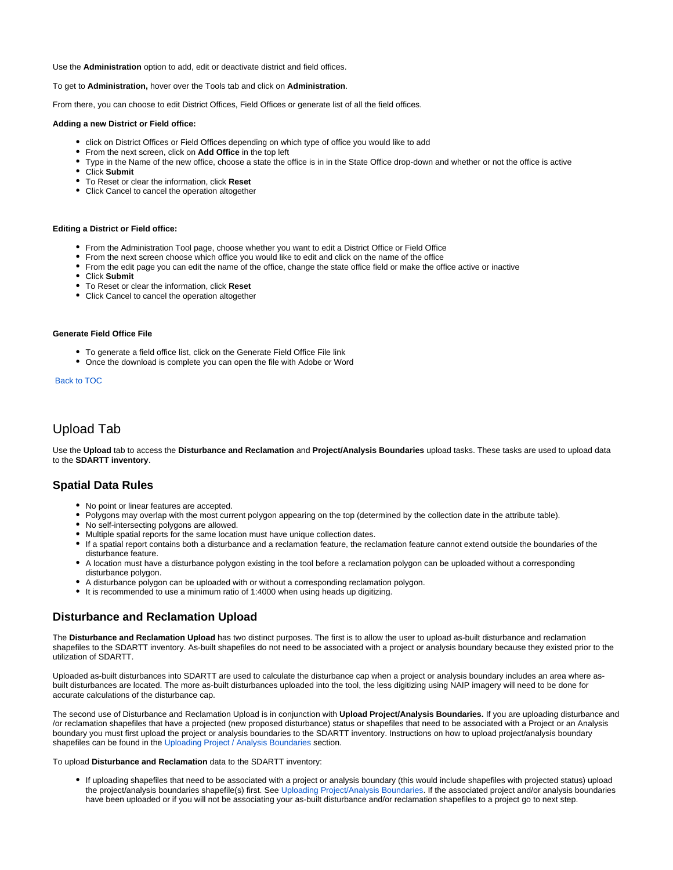Use the **Administration** option to add, edit or deactivate district and field offices.

#### To get to **Administration,** hover over the Tools tab and click on **Administration**.

From there, you can choose to edit District Offices, Field Offices or generate list of all the field offices.

#### **Adding a new District or Field office:**

- click on District Offices or Field Offices depending on which type of office you would like to add
- From the next screen, click on **Add Office** in the top left
- Type in the Name of the new office, choose a state the office is in in the State Office drop-down and whether or not the office is active
- Click **Submit**
- To Reset or clear the information, click **Reset**
- Click Cancel to cancel the operation altogether

#### **Editing a District or Field office:**

- From the Administration Tool page, choose whether you want to edit a District Office or Field Office
- From the next screen choose which office you would like to edit and click on the name of the office
- From the edit page you can edit the name of the office, change the state office field or make the office active or inactive
- Click **Submit**
- To Reset or clear the information, click **Reset**
- Click Cancel to cancel the operation altogether

#### **Generate Field Office File**

- To generate a field office list, click on the Generate Field Office File link
- Once the download is complete you can open the file with Adobe or Word

#### Back to TOC

## <span id="page-14-0"></span>Upload Tab

Use the **Upload** tab to access the **Disturbance and Reclamation** and **Project/Analysis Boundaries** upload tasks. These tasks are used to upload data to the **SDARTT inventory**.

### <span id="page-14-1"></span>**Spatial Data Rules**

- No point or linear features are accepted.
- Polygons may overlap with the most current polygon appearing on the top (determined by the collection date in the attribute table).
- No self-intersecting polygons are allowed.
- Multiple spatial reports for the same location must have unique collection dates.
- If a spatial report contains both a disturbance and a reclamation feature, the reclamation feature cannot extend outside the boundaries of the disturbance feature.
- A location must have a disturbance polygon existing in the tool before a reclamation polygon can be uploaded without a corresponding disturbance polygon.
- A disturbance polygon can be uploaded with or without a corresponding reclamation polygon.
- It is recommended to use a minimum ratio of 1:4000 when using heads up digitizing.

### <span id="page-14-2"></span>**Disturbance and Reclamation Upload**

The **Disturbance and Reclamation Upload** has two distinct purposes. The first is to allow the user to upload as-built disturbance and reclamation shapefiles to the SDARTT inventory. As-built shapefiles do not need to be associated with a project or analysis boundary because they existed prior to the utilization of SDARTT.

Uploaded as-built disturbances into SDARTT are used to calculate the disturbance cap when a project or analysis boundary includes an area where asbuilt disturbances are located. The more as-built disturbances uploaded into the tool, the less digitizing using NAIP imagery will need to be done for accurate calculations of the disturbance cap.

The second use of Disturbance and Reclamation Upload is in conjunction with **Upload Project/Analysis Boundaries.** If you are uploading disturbance and /or reclamation shapefiles that have a projected (new proposed disturbance) status or shapefiles that need to be associated with a Project or an Analysis boundary you must first upload the project or analysis boundaries to the SDARTT inventory. Instructions on how to upload project/analysis boundary shapefiles can be found in the [Uploading Project / Analysis Boundaries](https://my.usgs.gov/confluence/display/FUH/SDARTT+User+Help#SDARTTUserHelp-UploadingProject/AnalysisBoundaries) section.

#### To upload **Disturbance and Reclamation** data to the SDARTT inventory:

If uploading shapefiles that need to be associated with a project or analysis boundary (this would include shapefiles with projected status) upload the project/analysis boundaries shapefile(s) first. See [Uploading Project/Analysis Boundaries](https://my.usgs.gov/confluence/display/FUH/SDARTT+User+Help#SDARTTUserHelp-UploadingProject/AnalysisBoundaries). If the associated project and/or analysis boundaries have been uploaded or if you will not be associating your as-built disturbance and/or reclamation shapefiles to a project go to next step.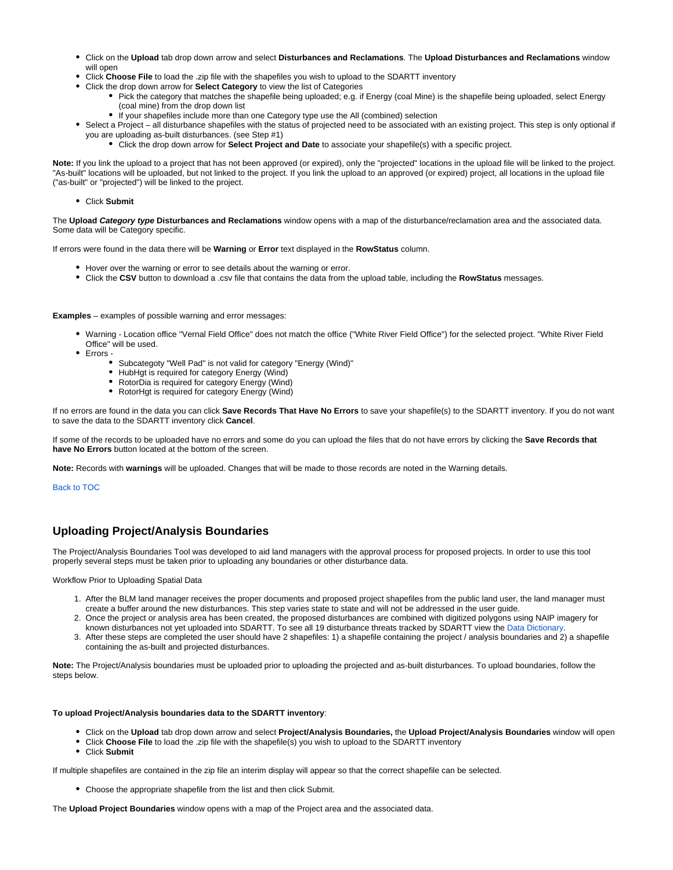- Click on the **Upload** tab drop down arrow and select **Disturbances and Reclamations**. The **Upload Disturbances and Reclamations** window will open
- Click **Choose File** to load the .zip file with the shapefiles you wish to upload to the SDARTT inventory
- Click the drop down arrow for **Select Category** to view the list of Categories
	- Pick the category that matches the shapefile being uploaded; e.g. if Energy (coal Mine) is the shapefile being uploaded, select Energy (coal mine) from the drop down list
	- If your shapefiles include more than one Category type use the All (combined) selection
- Select a Project all disturbance shapefiles with the status of projected need to be associated with an existing project. This step is only optional if you are uploading as-built disturbances. (see Step #1)
	- Click the drop down arrow for **Select Project and Date** to associate your shapefile(s) with a specific project.

**Note:** If you link the upload to a project that has not been approved (or expired), only the "projected" locations in the upload file will be linked to the project. "As-built" locations will be uploaded, but not linked to the project. If you link the upload to an approved (or expired) project, all locations in the upload file ("as-built" or "projected") will be linked to the project.

Click **Submit**

The **Upload Category type Disturbances and Reclamations** window opens with a map of the disturbance/reclamation area and the associated data. Some data will be Category specific.

If errors were found in the data there will be **Warning** or **Error** text displayed in the **RowStatus** column.

- Hover over the warning or error to see details about the warning or error.
- Click the **CSV** button to download a .csv file that contains the data from the upload table, including the **RowStatus** messages.

**Examples** – examples of possible warning and error messages:

- Warning Location office "Vernal Field Office" does not match the office ("White River Field Office") for the selected project. "White River Field Office" will be used.
- Errors
	- Subcategoty "Well Pad" is not valid for category "Energy (Wind)"
	- HubHgt is required for category Energy (Wind)
	- RotorDia is required for category Energy (Wind)
	- RotorHgt is required for category Energy (Wind)

If no errors are found in the data you can click **Save Records That Have No Errors** to save your shapefile(s) to the SDARTT inventory. If you do not want to save the data to the SDARTT inventory click **Cancel**.

If some of the records to be uploaded have no errors and some do you can upload the files that do not have errors by clicking the **Save Records that have No Errors** button located at the bottom of the screen.

**Note:** Records with **warnings** will be uploaded. Changes that will be made to those records are noted in the Warning details.

Back to TOC

## <span id="page-15-0"></span>**Uploading Project/Analysis Boundaries**

The Project/Analysis Boundaries Tool was developed to aid land managers with the approval process for proposed projects. In order to use this tool properly several steps must be taken prior to uploading any boundaries or other disturbance data.

Workflow Prior to Uploading Spatial Data

- 1. After the BLM land manager receives the proper documents and proposed project shapefiles from the public land user, the land manager must create a buffer around the new disturbances. This step varies state to state and will not be addressed in the user guide.
- 2. Once the project or analysis area has been created, the proposed disturbances are combined with digitized polygons using NAIP imagery for known disturbances not yet uploaded into SDARTT. To see all 19 disturbance threats tracked by SDARTT view the [Data Dictionary.](https://my.usgs.gov/confluence/display/FUH/SDARTT+User+Help#SDARTTUserHelp-DataDictionary)
- 3. After these steps are completed the user should have 2 shapefiles: 1) a shapefile containing the project / analysis boundaries and 2) a shapefile containing the as-built and projected disturbances.

**Note:** The Project/Analysis boundaries must be uploaded prior to uploading the projected and as-built disturbances. To upload boundaries, follow the steps below.

#### **To upload Project/Analysis boundaries data to the SDARTT inventory**:

- Click on the **Upload** tab drop down arrow and select **Project/Analysis Boundaries,** the **Upload Project/Analysis Boundaries** window will open
- Click **Choose File** to load the .zip file with the shapefile(s) you wish to upload to the SDARTT inventory
- Click **Submit**

If multiple shapefiles are contained in the zip file an interim display will appear so that the correct shapefile can be selected.

Choose the appropriate shapefile from the list and then click Submit.

The **Upload Project Boundaries** window opens with a map of the Project area and the associated data.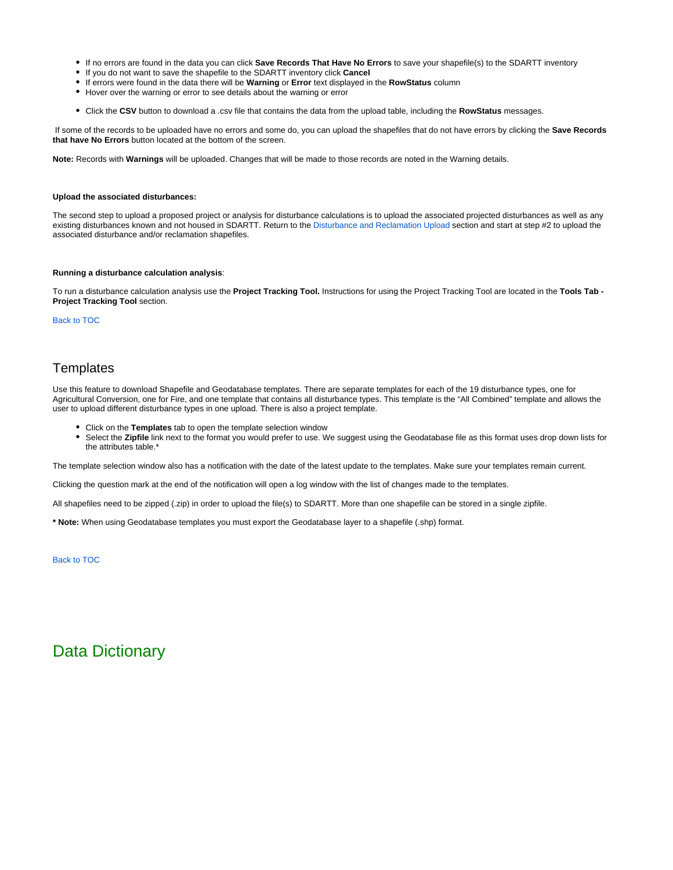- If no errors are found in the data you can click **Save Records That Have No Errors** to save your shapefile(s) to the SDARTT inventory
- If you do not want to save the shapefile to the SDARTT inventory click **Cancel**
- If errors were found in the data there will be **Warning** or **Error** text displayed in the **RowStatus** column
- Hover over the warning or error to see details about the warning or error
- Click the **CSV** button to download a .csv file that contains the data from the upload table, including the **RowStatus** messages.

 If some of the records to be uploaded have no errors and some do, you can upload the shapefiles that do not have errors by clicking the **Save Records that have No Errors** button located at the bottom of the screen.

**Note:** Records with **Warnings** will be uploaded. Changes that will be made to those records are noted in the Warning details.

#### **Upload the associated disturbances:**

The second step to upload a proposed project or analysis for disturbance calculations is to upload the associated projected disturbances as well as any existing disturbances known and not housed in SDARTT. Return to the [Disturbance and Reclamation Upload](https://my.usgs.gov/confluence/display/FUH/SDARTT+User+Help#SDARTTUserHelp-DisturbanceandReclamationUpload) section and start at step #2 to upload the associated disturbance and/or reclamation shapefiles.

#### **Running a disturbance calculation analysis**:

To run a disturbance calculation analysis use the **Project Tracking Tool.** Instructions for using the Project Tracking Tool are located in the **Tools Tab - Project Tracking Tool** section.

#### Back to TOC

## <span id="page-16-0"></span>**Templates**

Use this feature to download Shapefile and Geodatabase templates. There are separate templates for each of the 19 disturbance types, one for Agricultural Conversion, one for Fire, and one template that contains all disturbance types. This template is the "All Combined" template and allows the user to upload different disturbance types in one upload. There is also a project template.

- Click on the **Templates** tab to open the template selection window
- Select the **Zipfile** link next to the format you would prefer to use. We suggest using the Geodatabase file as this format uses drop down lists for the attributes table.'

The template selection window also has a notification with the date of the latest update to the templates. Make sure your templates remain current.

Clicking the question mark at the end of the notification will open a log window with the list of changes made to the templates.

All shapefiles need to be zipped (.zip) in order to upload the file(s) to SDARTT. More than one shapefile can be stored in a single zipfile.

**\* Note:** When using Geodatabase templates you must export the Geodatabase layer to a shapefile (.shp) format.

Back to TOC

## <span id="page-16-1"></span>Data Dictionary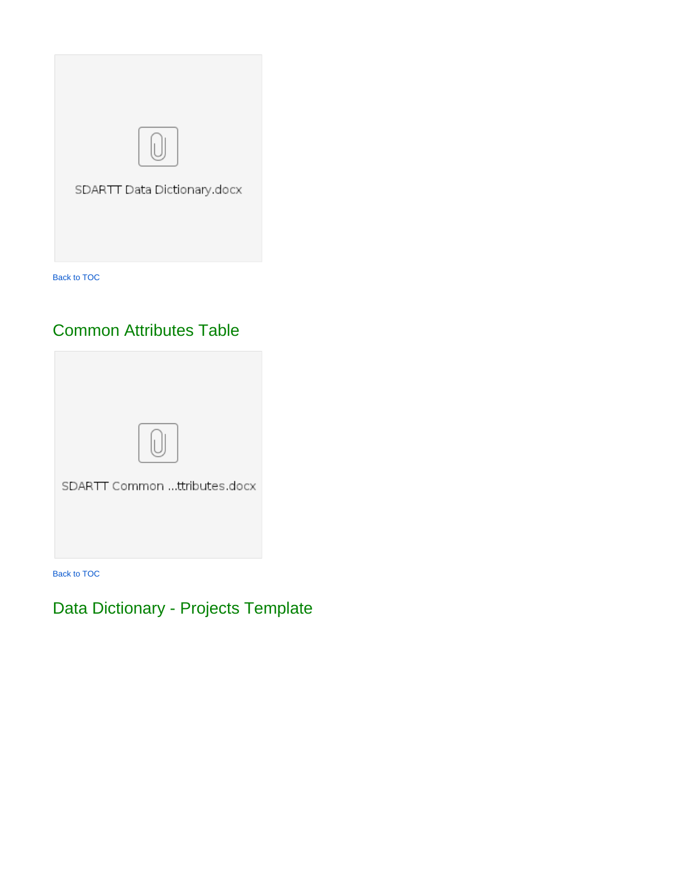

# Common Attributes Table

<span id="page-17-0"></span>

Back to TOC

# <span id="page-17-1"></span>Data Dictionary - Projects Template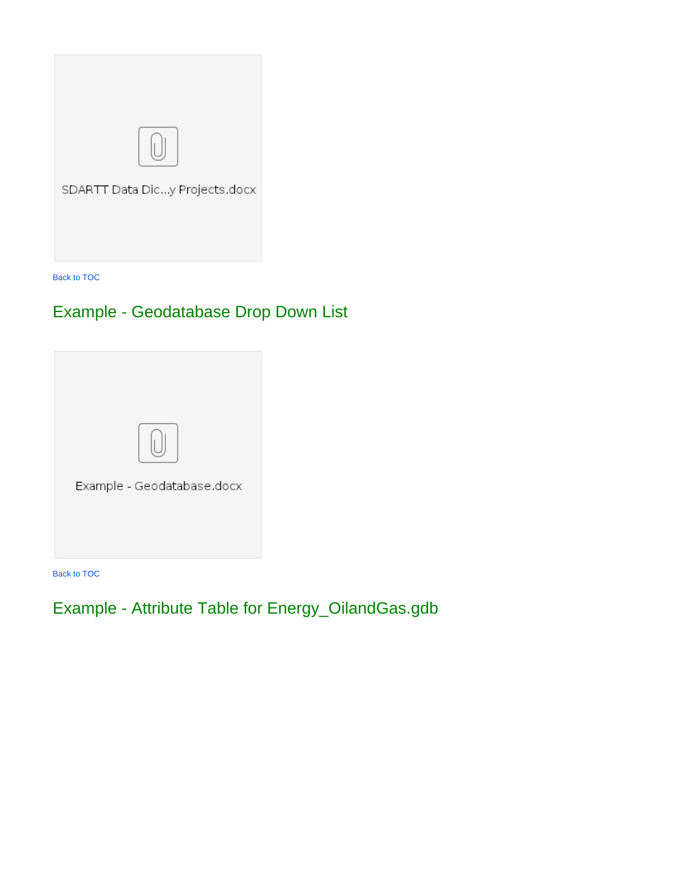

# <span id="page-18-0"></span>Example - Geodatabase Drop Down List



Back to TOC

# <span id="page-18-1"></span>Example - Attribute Table for Energy\_OilandGas.gdb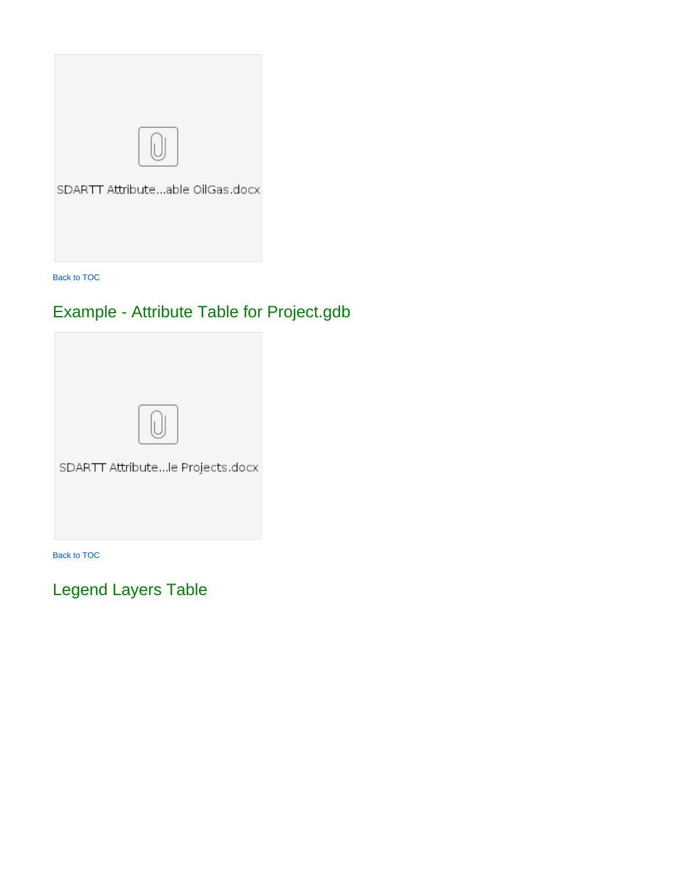

# <span id="page-19-0"></span>Example - Attribute Table for Project.gdb



Back to TOC

<span id="page-19-1"></span>Legend Layers Table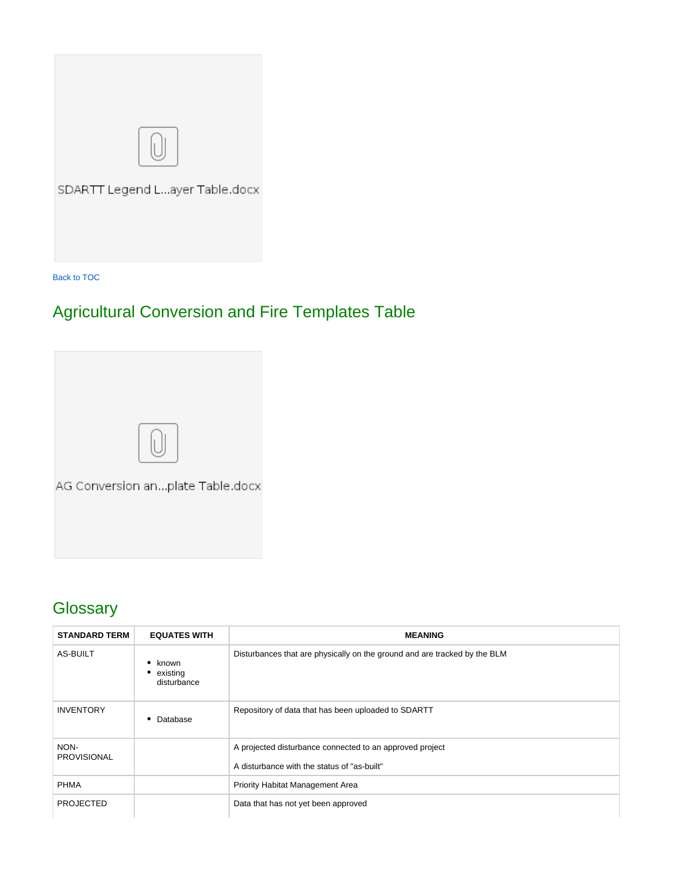

# <span id="page-20-0"></span>Agricultural Conversion and Fire Templates Table



# <span id="page-20-1"></span>**Glossary**

| <b>STANDARD TERM</b>       | <b>EQUATES WITH</b>                | <b>MEANING</b>                                                                                          |
|----------------------------|------------------------------------|---------------------------------------------------------------------------------------------------------|
| AS-BUILT                   | known<br>• existing<br>disturbance | Disturbances that are physically on the ground and are tracked by the BLM                               |
| <b>INVENTORY</b>           | Database                           | Repository of data that has been uploaded to SDARTT                                                     |
| NON-<br><b>PROVISIONAL</b> |                                    | A projected disturbance connected to an approved project<br>A disturbance with the status of "as-built" |
| <b>PHMA</b>                |                                    | Priority Habitat Management Area                                                                        |
| <b>PROJECTED</b>           |                                    | Data that has not yet been approved                                                                     |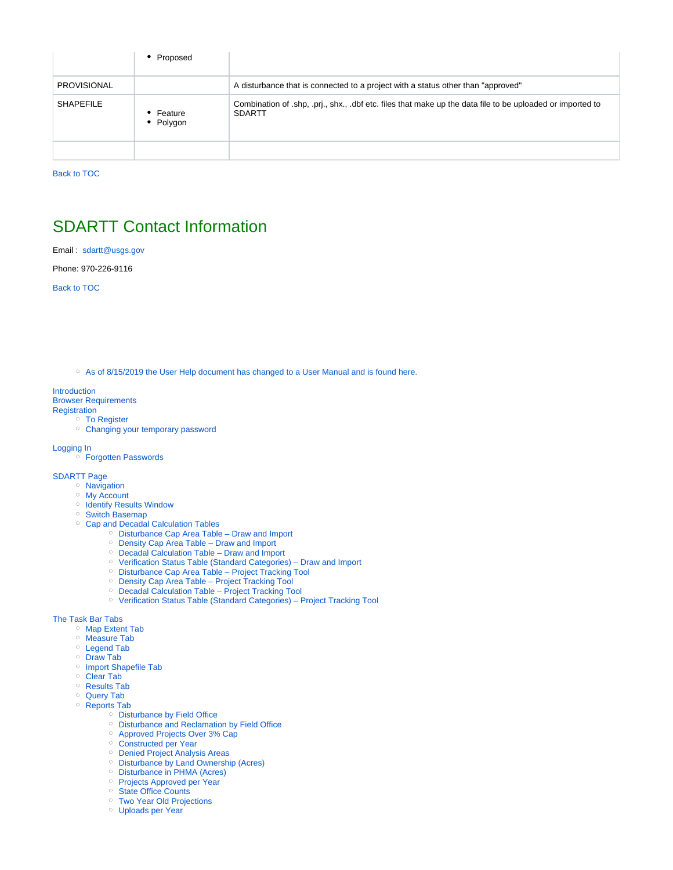|                    | Proposed               |                                                                                                                          |
|--------------------|------------------------|--------------------------------------------------------------------------------------------------------------------------|
| <b>PROVISIONAL</b> |                        | A disturbance that is connected to a project with a status other than "approved"                                         |
| <b>SHAPEFILE</b>   | • Feature<br>• Polygon | Combination of shp, pri., shx., dbf etc. files that make up the data file to be uploaded or imported to<br><b>SDARTT</b> |
|                    |                        |                                                                                                                          |

## <span id="page-21-0"></span>SDARTT Contact Information

Email : [sdartt@usgs.gov](mailto:sdartt@usgs.gov)

Phone: 970-226-9116

Back to TOC

<sup>o</sup> [As of 8/15/2019 the User Help document has changed to a User Manual and is found here.](#page-0-0)

#### [Introduction](#page-0-1) [Browser Requirements](#page-0-2)

- [Registration](#page-0-3)
	- <sup>o</sup> [To Register](#page-0-4)
	- <sup>o</sup> [Changing your temporary password](#page-2-0)

#### [Logging In](#page-2-1)

[Forgotten Passwords](#page-2-2)

#### [SDARTT Page](#page-3-0)

- **[Navigation](#page-3-1)**
- <sup>o</sup> [My Account](#page-3-2)
	- [Identify Results Window](#page-3-3)
- [Switch Basemap](#page-3-4)
- <sup>o</sup> [Cap and Decadal Calculation Tables](#page-3-5)
	- [Disturbance Cap Area Table Draw and Import](#page-4-0)
	- [Density Cap Area Table Draw and Import](#page-4-1)
	- [Decadal Calculation Table Draw and Import](#page-4-2)
	- [Verification Status Table \(Standard Categories\) Draw and Import](#page-4-3)
	- [Disturbance Cap Area Table Project Tracking Tool](#page-5-0)
	- [Density Cap Area Table Project Tracking Tool](#page-5-1)
	- <sup>o</sup> [Decadal Calculation Table Project Tracking Tool](#page-5-2)
	- [Verification Status Table \(Standard Categories\) Project Tracking Tool](#page-5-3)

#### [The Task Bar Tabs](#page-6-0)

- <sup>o</sup> [Map Extent Tab](#page-6-1)
- <sup>o</sup> [Measure Tab](#page-6-2)
- [Legend Tab](#page-7-0)
- [Draw Tab](#page-7-1)
- <sup>o</sup> [Import Shapefile Tab](#page-7-2)
- <sup>o</sup> [Clear Tab](#page-8-0)
- <sup>o</sup> [Results Tab](#page-8-1)
- <sup>o</sup> [Query Tab](#page-8-2)
- <sup>o</sup> [Reports Tab](#page-9-0)
	- <sup>o</sup> [Disturbance by Field Office](#page-9-1)
	- <sup>o</sup> [Disturbance and Reclamation by Field Office](#page-9-2)
	- [Approved Projects Over 3% Cap](#page-9-3)
	- <sup>o</sup> [Constructed per Year](#page-9-4)
	- [Denied Project Analysis Areas](#page-9-5)
	- <sup>o</sup> [Disturbance by Land Ownership \(Acres\)](#page-9-6)
	- [Disturbance in PHMA \(Acres\)](#page-10-0)
	- <sup>o</sup> [Projects Approved per Year](#page-10-1)
	- <sup>o</sup> [State Office Counts](#page-10-2)
	- [Two Year Old Projections](#page-10-3)
	- [Uploads per Year](#page-10-4)